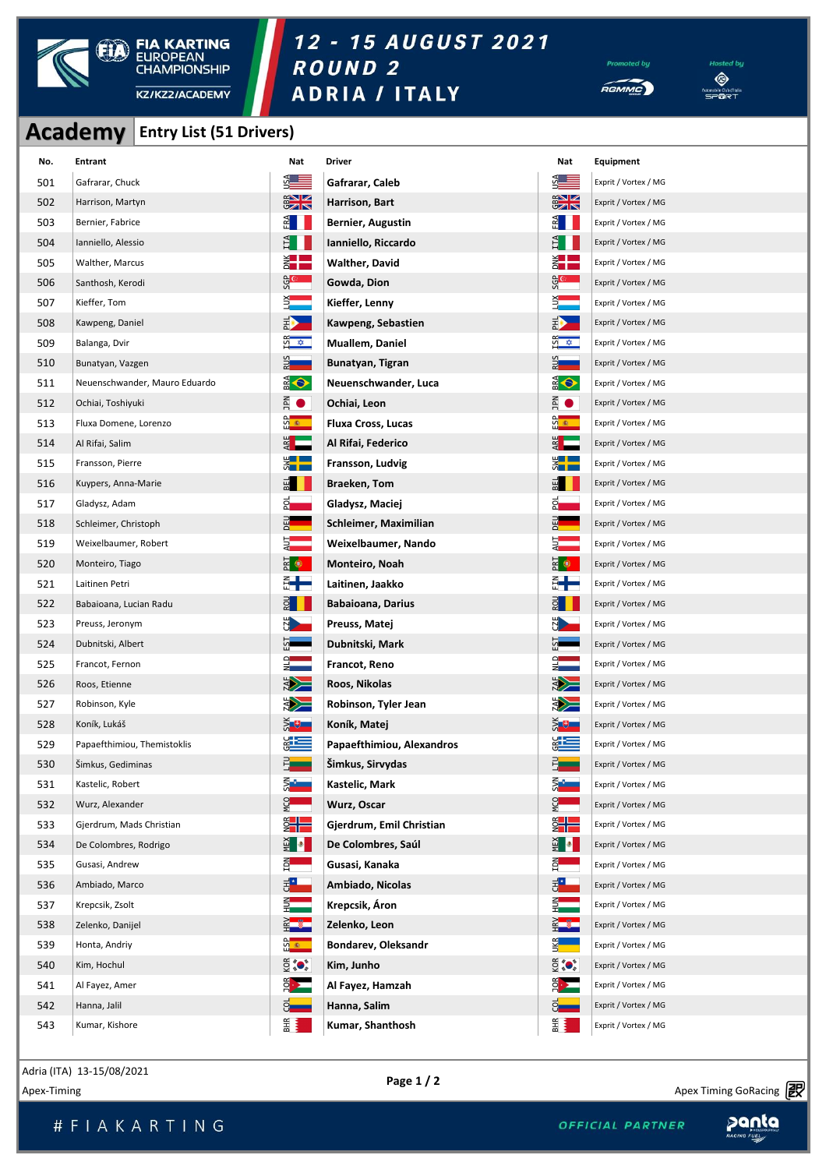

## 12 - 15 AUGUST 2021 ROUND<sub>2</sub>





|     |                               | <b>Academy Entry List (51 Drivers)</b> |                                |                           |                                   |                      |
|-----|-------------------------------|----------------------------------------|--------------------------------|---------------------------|-----------------------------------|----------------------|
| No. | <b>Entrant</b>                |                                        | Nat                            | <b>Driver</b>             | Nat                               | Equipment            |
| 501 | Gafrarar, Chuck               |                                        | <b>SALE</b>                    | Gafrarar, Caleb           | $\frac{54}{2}$                    | Exprit / Vortex / MG |
| 502 | Harrison, Martyn              |                                        | $\frac{2}{3}$                  | Harrison, Bart            | $\frac{2}{3}$                     | Exprit / Vortex / MG |
| 503 | Bernier, Fabrice              |                                        | E III                          | Bernier, Augustin         | $E_{\rm I}$                       | Exprit / Vortex / MG |
| 504 | Ianniello, Alessio            |                                        | $H_{\rm H}$                    | Ianniello, Riccardo       | $H_{\rm H}$                       | Exprit / Vortex / MG |
| 505 | Walther, Marcus               |                                        | ž <mark>e po</mark>            | <b>Walther, David</b>     | $\frac{1}{2}$                     | Exprit / Vortex / MG |
| 506 | Santhosh, Kerodi              |                                        | င္ဟ <mark>ာ ေ</mark>           | Gowda, Dion               | <u>င္ပန္</u>                      | Exprit / Vortex / MG |
| 507 | Kieffer, Tom                  |                                        | EDX<br>L                       | Kieffer, Lenny            | â.                                | Exprit / Vortex / MG |
| 508 | Kawpeng, Daniel               |                                        | $\Rightarrow$                  | Kawpeng, Sebastien        | $\Rightarrow$                     | Exprit / Vortex / MG |
| 509 | Balanga, Dvir                 |                                        | $rac{5}{2}$                    | <b>Muallem, Daniel</b>    | $rac{2}{5}$                       | Exprit / Vortex / MG |
| 510 | Bunatyan, Vazgen              |                                        | 己<br>군                         | Bunatyan, Tigran          | $rac{2}{\sqrt{2}}$                | Exprit / Vortex / MG |
| 511 | Neuenschwander, Mauro Eduardo |                                        | <b>OB</b>                      | Neuenschwander, Luca      | <b>OB</b>                         | Exprit / Vortex / MG |
| 512 |                               | Ochiai, Toshiyuki                      |                                | Ochiai, Leon              | Ā0                                | Exprit / Vortex / MG |
| 513 |                               | Fluxa Domene, Lorenzo                  |                                | <b>Fluxa Cross, Lucas</b> | ິດ<br>ີ້                          | Exprit / Vortex / MG |
| 514 | Al Rifai, Salim               |                                        | ឌី —                           | Al Rifai, Federico        | $rac{1}{2}$                       | Exprit / Vortex / MG |
| 515 |                               | Fransson, Pierre                       |                                | Fransson, Ludvig          | $\frac{1}{2}$                     | Exprit / Vortex / MG |
| 516 |                               | Kuypers, Anna-Marie                    |                                | Braeken, Tom              | BEL                               | Exprit / Vortex / MG |
| 517 |                               | Gladysz, Adam                          |                                | Gladysz, Maciej           | <u>하</u>                          | Exprit / Vortex / MG |
| 518 |                               | Schleimer, Christoph                   |                                | Schleimer, Maximilian     | $rac{1}{2}$                       | Exprit / Vortex / MG |
| 519 | Weixelbaumer, Robert          |                                        | 5.<br>4                        | Weixelbaumer, Nando       | Ę.                                | Exprit / Vortex / MG |
| 520 |                               | Monteiro, Tiago                        |                                | <b>Monteiro, Noah</b>     | $\overline{\mathbf{g}}$ $\bullet$ | Exprit / Vortex / MG |
| 521 | Laitinen Petri                |                                        | ┋╋═                            | Laitinen, Jaakko          | ╬╋═                               | Exprit / Vortex / MG |
| 522 |                               | Babaioana, Lucian Radu                 |                                | <b>Babaioana, Darius</b>  | $rac{1}{2}$                       | Exprit / Vortex / MG |
| 523 |                               | Preuss, Jeronym                        |                                | Preuss, Matej             | $\frac{1}{2}$                     | Exprit / Vortex / MG |
| 524 | Dubnitski, Albert             |                                        |                                | Dubnitski, Mark           |                                   | Exprit / Vortex / MG |
| 525 | Francot, Fernon               |                                        |                                | Francot, Reno             | 앏                                 | Exprit / Vortex / MG |
| 526 | Roos, Etienne                 |                                        | <b>SPECTA</b>                  | Roos, Nikolas             | <b>SPECTA</b>                     | Exprit / Vortex / MG |
| 527 | Robinson, Kyle                |                                        | <b>EXAMPLE</b>                 | Robinson, Tyler Jean      |                                   | Exprit / Vortex / MG |
| 528 | Koník, Lukáš                  |                                        | <b>SETT</b>                    | Koník, Matej              | ă.                                | Exprit / Vortex / MG |
| 529 | Papaefthimiou, Themistoklis   |                                        | $rac{c}{c}$                    | Papaefthimiou, Alexandros | $rac{c}{\sqrt{2}}$                | Exprit / Vortex / MG |
| 530 | Šimkus, Gediminas             |                                        | F.                             | Šimkus, Sirvydas          | 500                               | Exprit / Vortex / MG |
| 531 | Kastelic, Robert              |                                        | ⋚∙                             | Kastelic, Mark            | ⋚▞▅▅                              | Exprit / Vortex / MG |
| 532 | Wurz, Alexander               |                                        | <b>D</b>                       | Wurz, Oscar               | PCO                               | Exprit / Vortex / MG |
| 533 | Gjerdrum, Mads Christian      |                                        | $\frac{1}{2}$                  | Gjerdrum, Emil Christian  | $\frac{1}{2}$                     | Exprit / Vortex / MG |
| 534 | De Colombres, Rodrigo         |                                        | ਮੂੰ <mark>।</mark>             | De Colombres, Saúl        | ਮੂੰ <mark>।</mark>                | Exprit / Vortex / MG |
| 535 | Gusasi, Andrew                |                                        | $\frac{2}{3}$                  | Gusasi, Kanaka            | $\mathbb{E}$                      | Exprit / Vortex / MG |
| 536 | Ambiado, Marco                |                                        | 병원                             | Ambiado, Nicolas          | 턝                                 | Exprit / Vortex / MG |
| 537 | Krepcsik, Zsolt               |                                        | $\frac{2}{1}$<br>$\frac{2}{1}$ | Krepcsik, Áron            | $\frac{2}{1}$                     | Exprit / Vortex / MG |
| 538 |                               | Zelenko, Danijel                       |                                | Zelenko, Leon             | $rac{1}{2}$                       | Exprit / Vortex / MG |
| 539 | Honta, Andriy                 |                                        | <u>ထိုး ေ</u>                  | Bondarev, Oleksandr       | UKR<br>T                          | Exprit / Vortex / MG |
| 540 | Kim, Hochul                   |                                        | $\widetilde{Q}$ (or $\bullet$  | Kim, Junho                | $\frac{1}{2}$                     | Exprit / Vortex / MG |
| 541 | Al Fayez, Amer                |                                        | $\frac{1}{2}$                  | Al Fayez, Hamzah          | $\frac{1}{2}$                     | Exprit / Vortex / MG |
| 542 | Hanna, Jalil                  |                                        | ੋ—                             | Hanna, Salim              | $\overline{S}$                    | Exprit / Vortex / MG |
| 543 | Kumar, Kishore                |                                        | <b>EHR</b>                     | Kumar, Shanthosh          | <b>BHR</b>                        | Exprit / Vortex / MG |

Adria (ITA) 13-15/08/2021

Apex-Timing  $\sum_{i=1}^{N}$  Apex Timing GoRacing  $\mathbb{R}^N$ 

panta

# F I A K A R T I N G

Apex Timing - timing solutions and services https://www.apex-timing.com/